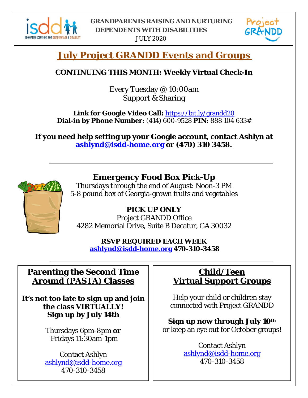

JULY 2020



## **July Project GRANDD Events and Groups**

#### **CONTINUING THIS MONTH: Weekly Virtual Check-In**

Every Tuesday @ 10:00am Support & Sharing

**Link for Google Video Call:** https://bit.ly/grandd20 **Dial-in by Phone Number:** (414) 600-9528 **PIN:** 888 104 633#

**If you need help setting up your Google account, contact Ashlyn at [ashlynd@isdd-home.org](mailto:ashlynd@isdd-home.org) or (470) 310 3458.**



### **Emergency Food Box Pick-Up**

Thursdays through the end of August: Noon-3 PM 5-8 pound box of Georgia-grown fruits and vegetables

**PICK UP ONLY** Project GRANDD Office 4282 Memorial Drive, Suite B Decatur, GA 30032

**RSVP REQUIRED EACH WEEK ashlynd@isdd-home.org 470-310-3458**

#### **Parenting the Second Time Around (PASTA) Classes**

**It's not too late to sign up and join the class VIRTUALLY! Sign up by July 14th**

> Thursdays 6pm-8pm **or** Fridays 11:30am-1pm

Contact Ashlyn [ashlynd@isdd-home.org](mailto:ashlynd@isdd-home.org) 470-310-3458

### **Child/Teen Virtual Support Groups**

Help your child or children stay connected with Project GRANDD

**Sign up now through July 10th** or keep an eye out for October groups!

> Contact Ashlyn [ashlynd@isdd-home.org](mailto:ashlynd@isdd-home.org) 470-310-3458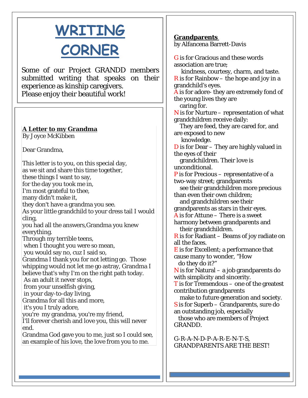# **WRITING CORNER**

Some of our Project GRANDD members submitted writing that speaks on their experience as kinship caregivers. Please enjoy their beautiful work!

## **A Letter to my Grandma**

By Joyce McKibben

Dear Grandma,

This letter is to you, on this special day, as we sit and share this time together, these things I want to say, for the day you took me in, I'm most grateful to thee, many didn't make it, they don't have a grandma you see. As your little grandchild to your dress tail I would cling, you had all the answers,Grandma you knew everything. Through my terrible teens, when I thought you were so mean, you would say no, cuz I said so, Grandma I thank you for not letting go. Those whipping would not let me go astray, Grandma I believe that's why I'm on the right path today. As an adult it never stops, from your unselfish giving, in your day-to-day living, Grandma for all this and more, it's you I truly adore, you're my grandma, you're my friend, I'll forever cherish and love you, this will never end. Grandma God gave you to me, just so I could see, an example of his love, the love from you to me.

#### **Grandparents**

by Alfancena Barrett-Davis

G is for Gracious and these words association are true; kindness, courtesy, charm, and taste. **R** is for Rainbow – the hope and joy in a grandchild's eyes. A is for adore- they are extremely fond of the young lives they are caring for.  $N$  is for Nurture – representation of what grandchildren receive daily: They are feed, they are cared for, and are exposed to new knowledge. D is for Dear – They are highly valued in the eyes of their grandchildren. Their love is unconditional. P is for Precious – representative of a two-way street; grandparents see their grandchildren more precious than even their own children; and grandchildren see their grandparents as stars in their eyes.  $\overline{A}$  is for Attune – There is a sweet harmony between grandparents and their grandchildren.  $\overline{R}$  is for Radiant – Beams of joy radiate on all the faces. E is for Excellent; a performance that cause many to wonder, "How do they do it?"  $N$  is for Natural – a job grandparents do with simplicity and sincerity. T is for Tremendous – one of the greatest contribution grandparents make to future generation and society. S is for Superb – Grandparents, sure do an outstanding job, especially those who are members of Project GRANDD.

G-R-A-N-D-P-A-R-E-N-T-S, GRANDPARENTS ARE THE BEST!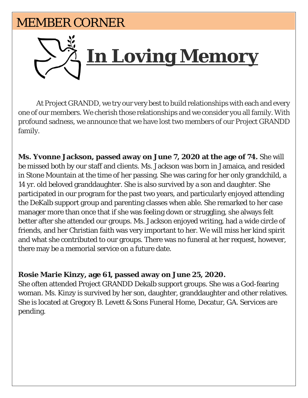## MEMBER CORNER



At Project GRANDD, we try our very best to build relationships with each and every one of our members. We cherish those relationships and we consider you all family. With profound sadness, we announce that we have lost two members of our Project GRANDD family.

**Ms. Yvonne Jackson, passed away on June 7, 2020 at the age of 74.** She will be missed both by our staff and clients. Ms. Jackson was born in Jamaica, and resided in Stone Mountain at the time of her passing. She was caring for her only grandchild, a 14 yr. old beloved granddaughter. She is also survived by a son and daughter. She participated in our program for the past two years, and particularly enjoyed attending the DeKalb support group and parenting classes when able. She remarked to her case manager more than once that if she was feeling down or struggling, she always felt better after she attended our groups. Ms. Jackson enjoyed writing, had a wide circle of friends, and her Christian faith was very important to her. We will miss her kind spirit and what she contributed to our groups. There was no funeral at her request, however, there may be a memorial service on a future date.

#### **Rosie Marie Kinzy, age 61, passed away on June 25, 2020.**

She often attended Project GRANDD Dekalb support groups. She was a God-fearing woman. Ms. Kinzy is survived by her son, daughter, granddaughter and other relatives. She is located at Gregory B. Levett & Sons Funeral Home, Decatur, GA. Services are pending.